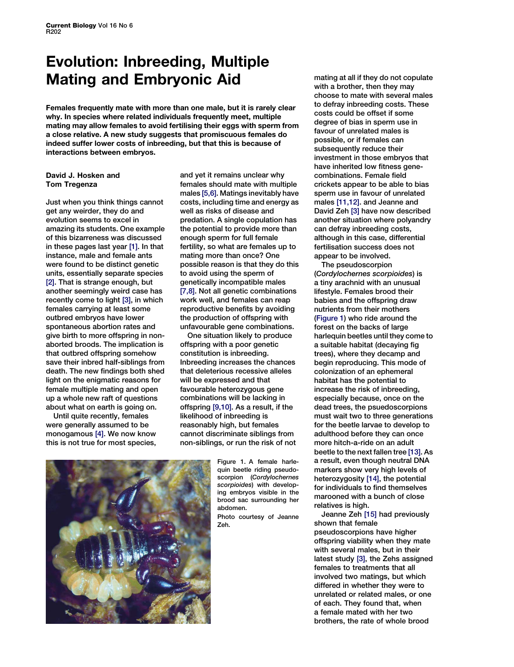## Evolution: Inbreeding, Multiple Mating and Embryonic Aid

Females frequently mate with more than one male, but it is rarely clear why. In species where related individuals frequently meet, multiple mating may allow females to avoid fertilising their eggs with sperm from a close relative. A new study suggests that promiscuous females do indeed suffer lower costs of inbreeding, but that this is because of interactions between embryos.

## David J. Hosken and Tom Tregenza

Just when you think things cannot get any weirder, they do and evolution seems to excel in amazing its students. One example of this bizarreness was discussed in these pages last year [\[1\].](#page-1-0) In that instance, male and female ants were found to be distinct genetic units, essentially separate species [\[2\].](#page-1-0) That is strange enough, but another seemingly weird case has recently come to light [\[3\]](#page-1-0), in which females carrying at least some outbred embryos have lower spontaneous abortion rates and give birth to more offspring in nonaborted broods. The implication is that outbred offspring somehow save their inbred half-siblings from death. The new findings both shed light on the enigmatic reasons for female multiple mating and open up a whole new raft of questions about what on earth is going on.

Until quite recently, females were generally assumed to be monogamous [\[4\].](#page-1-0) We now know this is not true for most species,

and yet it remains unclear why females should mate with multiple males [\[5,6\]](#page-1-0). Matings inevitably have costs, including time and energy as well as risks of disease and predation. A single copulation has the potential to provide more than enough sperm for full female fertility, so what are females up to mating more than once? One possible reason is that they do this to avoid using the sperm of genetically incompatible males [\[7,8\].](#page-1-0) Not all genetic combinations work well, and females can reap reproductive benefits by avoiding the production of offspring with unfavourable gene combinations.

One situation likely to produce offspring with a poor genetic constitution is inbreeding. Inbreeding increases the chances that deleterious recessive alleles will be expressed and that favourable heterozygous gene combinations will be lacking in offspring [\[9,10\].](#page-1-0) As a result, if the likelihood of inbreeding is reasonably high, but females cannot discriminate siblings from non-siblings, or run the risk of not



Figure 1. A female harlequin beetle riding pseudoscorpion (Cordylochernes scorpioides) with developing embryos visible in the brood sac surrounding her abdomen. Photo courtesy of Jeanne Zeh.

mating at all if they do not copulate with a brother, then they may choose to mate with several males to defray inbreeding costs. These costs could be offset if some degree of bias in sperm use in favour of unrelated males is possible, or if females can subsequently reduce their investment in those embryos that have inherited low fitness genecombinations. Female field crickets appear to be able to bias sperm use in favour of unrelated males [\[11,12\].](#page-1-0) and Jeanne and David Zeh [\[3\]](#page-1-0) have now described another situation where polyandry can defray inbreeding costs, although in this case, differential fertilisation success does not appear to be involved.

The pseudoscorpion (Cordylochernes scorpioides) is a tiny arachnid with an unusual lifestyle. Females brood their babies and the offspring draw nutrients from their mothers (Figure 1) who ride around the forest on the backs of large harlequin beetles until they come to a suitable habitat (decaying fig trees), where they decamp and begin reproducing. This mode of colonization of an ephemeral habitat has the potential to increase the risk of inbreeding, especially because, once on the dead trees, the psuedoscorpions must wait two to three generations for the beetle larvae to develop to adulthood before they can once more hitch-a-ride on an adult beetle to the next fallen tree [\[13\].](#page-1-0) As a result, even though neutral DNA markers show very high levels of heterozygosity [\[14\]](#page-1-0), the potential for individuals to find themselves marooned with a bunch of close relatives is high.

Jeanne Zeh [\[15\]](#page-1-0) had previously shown that female pseudoscorpions have higher offspring viability when they mate with several males, but in their latest study [\[3\],](#page-1-0) the Zehs assigned females to treatments that all involved two matings, but which differed in whether they were to unrelated or related males, or one of each. They found that, when a female mated with her two brothers, the rate of whole brood